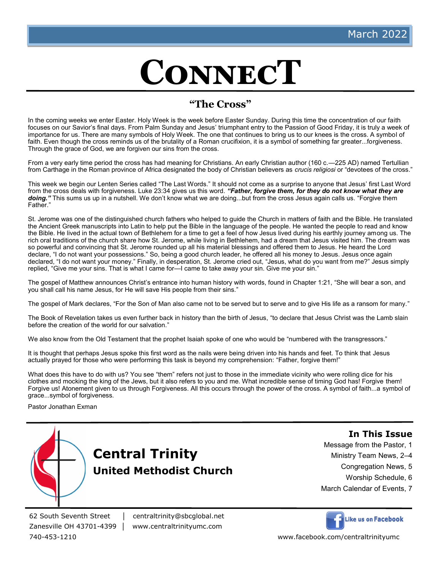# **ConnecT**

## **"The Cross"**

In the coming weeks we enter Easter. Holy Week is the week before Easter Sunday. During this time the concentration of our faith focuses on our Savior's final days. From Palm Sunday and Jesus' triumphant entry to the Passion of Good Friday, it is truly a week of importance for us. There are many symbols of Holy Week. The one that continues to bring us to our knees is the cross. A symbol of faith. Even though the cross reminds us of the brutality of a Roman crucifixion, it is a symbol of something far greater...forgiveness. Through the grace of God, we are forgiven our sins from the cross.

From a very early time period the cross has had meaning for Christians. An early Christian author (160 c.—225 AD) named Tertullian from Carthage in the Roman province of Africa designated the body of Christian believers as *crucis religiosi* or "devotees of the cross."

This week we begin our Lenten Series called "The Last Words." It should not come as a surprise to anyone that Jesus' first Last Word from the cross deals with forgiveness. Luke 23:34 gives us this word. *"Father, forgive them, for they do not know what they are*  doing." This sums us up in a nutshell. We don't know what we are doing...but from the cross Jesus again calls us. "Forgive them Father."

St. Jerome was one of the distinguished church fathers who helped to guide the Church in matters of faith and the Bible. He translated the Ancient Greek manuscripts into Latin to help put the Bible in the language of the people. He wanted the people to read and know the Bible. He lived in the actual town of Bethlehem for a time to get a feel of how Jesus lived during his earthly journey among us. The rich oral traditions of the church share how St. Jerome, while living in Bethlehem, had a dream that Jesus visited him. The dream was so powerful and convincing that St. Jerome rounded up all his material blessings and offered them to Jesus. He heard the Lord declare, "I do not want your possessions." So, being a good church leader, he offered all his money to Jesus. Jesus once again declared, "I do not want your money." Finally, in desperation, St. Jerome cried out, "Jesus, what do you want from me?" Jesus simply replied, "Give me your sins. That is what I came for—I came to take away your sin. Give me your sin."

The gospel of Matthew announces Christ's entrance into human history with words, found in Chapter 1:21, "She will bear a son, and you shall call his name Jesus, for He will save His people from their sins."

The gospel of Mark declares, "For the Son of Man also came not to be served but to serve and to give His life as a ransom for many."

The Book of Revelation takes us even further back in history than the birth of Jesus, "to declare that Jesus Christ was the Lamb slain before the creation of the world for our salvation."

We also know from the Old Testament that the prophet Isaiah spoke of one who would be "numbered with the transgressors."

It is thought that perhaps Jesus spoke this first word as the nails were being driven into his hands and feet. To think that Jesus actually prayed for those who were performing this task is beyond my comprehension: "Father, forgive them!"

What does this have to do with us? You see "them" refers not just to those in the immediate vicinity who were rolling dice for his clothes and mocking the king of the Jews, but it also refers to you and me. What incredible sense of timing God has! Forgive them! Forgive us! Atonement given to us through Forgiveness. All this occurs through the power of the cross. A symbol of faith...a symbol of grace...symbol of forgiveness.

Pastor Jonathan Exman



**In This Issue**

Message from the Pastor, 1

- Ministry Team News, 2–4
	- Congregation News, 5
		- Worship Schedule, 6
- March Calendar of Events, 7

62 South Seventh Street │ centraltrinity@sbcglobal.net

Zanesville OH 43701-4399 │ www.centraltrinityumc.com



740-453-1210 www.facebook.com/centraltrinityumc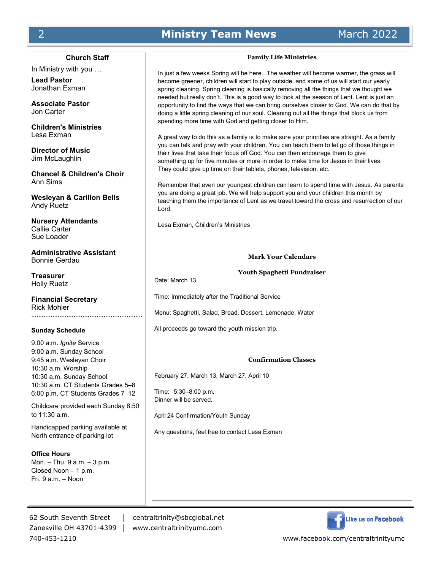## 2 **Ministry Team News** March 2022

**Church Staff**

In Ministry with you …

**Lead Pastor** Jonathan Exman

**Associate Pastor** Jon Carter

**Children's Ministries** Lesa Exman

**Director of Music** Jim McLaughlin

**Chancel & Children's Choir** Ann Sims

**Wesleyan & Carillon Bells** Andy Ruetz

**Nursery Attendants** Callie Carter Sue Loader

**Administrative Assistant** Bonnie Gerdau

**Treasurer** Holly Ruetz

**Financial Secretary** Rick Mohler ………………………………………………………

#### **Sunday Schedule**

9:00 a.m. *Ignite* Service 9:00 a.m. Sunday School 9:45 a.m. Wesleyan Choir 10:30 a.m. Worship 10:30 a.m. Sunday School 10:30 a.m. CT Students Grades 5–8 6:00 p.m. CT Students Grades 7–12

Childcare provided each Sunday 8:50 to 11:30 a.m.

Handicapped parking available at North entrance of parking lot

**Office Hours** Mon. – Thu. 9 a.m. – 3 p.m. Closed Noon – 1 p.m. Fri. 9 a.m. – Noon

62 South Seventh Street │ centraltrinity@sbcglobal.net Zanesville OH 43701-4399 │ www.centraltrinityumc.com 740-453-1210 www.facebook.com/centraltrinityumc



## **Family Life Ministries**

In just a few weeks Spring will be here. The weather will become warmer, the grass will become greener, children will start to play outside, and some of us will start our yearly spring cleaning. Spring cleaning is basically removing all the things that we thought we needed but really don't. This is a good way to look at the season of Lent. Lent is just an opportunity to find the ways that we can bring ourselves closer to God. We can do that by doing a little spring cleaning of our soul. Cleaning out all the things that block us from spending more time with God and getting closer to Him.

A great way to do this as a family is to make sure your priorities are straight. As a family you can talk and pray with your children. You can teach them to let go of those things in their lives that take their focus off God. You can then encourage them to give something up for five minutes or more in order to make time for Jesus in their lives. They could give up time on their tablets, phones, television, etc.

Remember that even our youngest children can learn to spend time with Jesus. As parents you are doing a great job. We will help support you and your children this month by teaching them the importance of Lent as we travel toward the cross and resurrection of our Lord.

Lesa Exman, Children's Ministries

#### **Mark Your Calendars**

**Youth Spaghetti Fundraiser**

Date: March 13

Time: Immediately after the Traditional Service

Menu: Spaghetti, Salad, Bread, Dessert, Lemonade, Water

All proceeds go toward the youth mission trip.

#### **Confirmation Classes**

February 27, March 13, March 27, April 10

Time: 5:30–8:00 p.m. Dinner will be served.

April 24 Confirmation/Youth Sunday

Any questions, feel free to contact Lesa Exman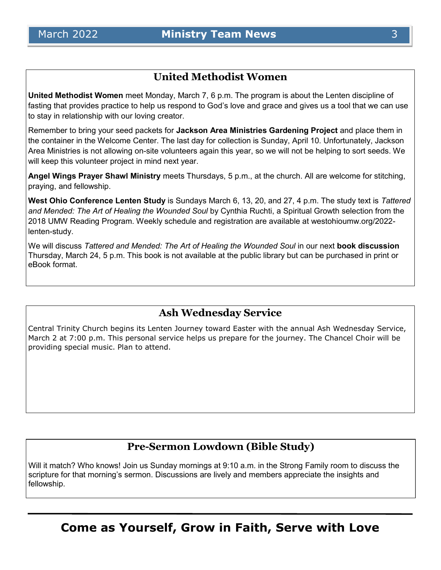## **United Methodist Women**

**United Methodist Women** meet Monday, March 7, 6 p.m. The program is about the Lenten discipline of fasting that provides practice to help us respond to God's love and grace and gives us a tool that we can use to stay in relationship with our loving creator.

Remember to bring your seed packets for **Jackson Area Ministries Gardening Project** and place them in the container in the Welcome Center. The last day for collection is Sunday, April 10. Unfortunately, Jackson Area Ministries is not allowing on-site volunteers again this year, so we will not be helping to sort seeds. We will keep this volunteer project in mind next year.

**Angel Wings Prayer Shawl Ministry** meets Thursdays, 5 p.m., at the church. All are welcome for stitching, praying, and fellowship.

**West Ohio Conference Lenten Study** is Sundays March 6, 13, 20, and 27, 4 p.m. The study text is *Tattered and Mended: The Art of Healing the Wounded Soul* by Cynthia Ruchti, a Spiritual Growth selection from the 2018 UMW Reading Program. Weekly schedule and registration are available at westohioumw.org/2022 lenten-study.

We will discuss *Tattered and Mended: The Art of Healing the Wounded Soul* in our next **book discussion** Thursday, March 24, 5 p.m. This book is not available at the public library but can be purchased in print or eBook format.

## **Ash Wednesday Service**

Central Trinity Church begins its Lenten Journey toward Easter with the annual Ash Wednesday Service, March 2 at 7:00 p.m. This personal service helps us prepare for the journey. The Chancel Choir will be providing special music. Plan to attend.

## **Pre-Sermon Lowdown (Bible Study)**

Will it match? Who knows! Join us Sunday mornings at 9:10 a.m. in the Strong Family room to discuss the scripture for that morning's sermon. Discussions are lively and members appreciate the insights and fellowship.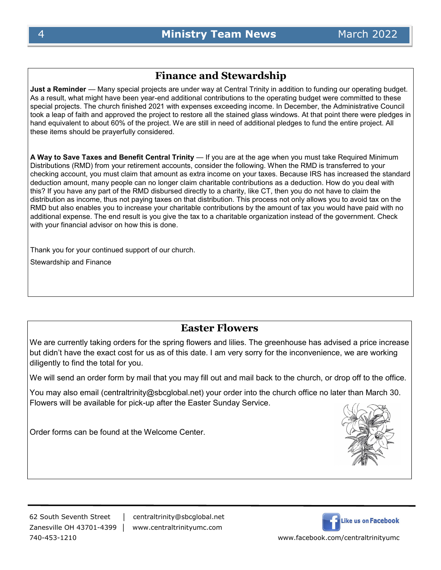## **Finance and Stewardship**

**Just a Reminder** — Many special projects are under way at Central Trinity in addition to funding our operating budget. As a result, what might have been year-end additional contributions to the operating budget were committed to these special projects. The church finished 2021 with expenses exceeding income. In December, the Administrative Council took a leap of faith and approved the project to restore all the stained glass windows. At that point there were pledges in hand equivalent to about 60% of the project. We are still in need of additional pledges to fund the entire project. All these items should be prayerfully considered.

**A Way to Save Taxes and Benefit Central Trinity** — If you are at the age when you must take Required Minimum Distributions (RMD) from your retirement accounts, consider the following. When the RMD is transferred to your checking account, you must claim that amount as extra income on your taxes. Because IRS has increased the standard deduction amount, many people can no longer claim charitable contributions as a deduction. How do you deal with this? If you have any part of the RMD disbursed directly to a charity, like CT, then you do not have to claim the distribution as income, thus not paying taxes on that distribution. This process not only allows you to avoid tax on the RMD but also enables you to increase your charitable contributions by the amount of tax you would have paid with no additional expense. The end result is you give the tax to a charitable organization instead of the government. Check with your financial advisor on how this is done.

Thank you for your continued support of our church.

Stewardship and Finance

## **Easter Flowers**

We are currently taking orders for the spring flowers and lilies. The greenhouse has advised a price increase but didn't have the exact cost for us as of this date. I am very sorry for the inconvenience, we are working diligently to find the total for you.

We will send an order form by mail that you may fill out and mail back to the church, or drop off to the office.

You may also email (centraltrinity@sbcglobal.net) your order into the church office no later than March 30. Flowers will be available for pick-up after the Easter Sunday Service.

Order forms can be found at the Welcome Center.

62 South Seventh Street │ centraltrinity@sbcglobal.net 740-453-1210 www.facebook.com/centraltrinityumc

Zanesville OH 43701-4399 │ www.centraltrinityumc.com

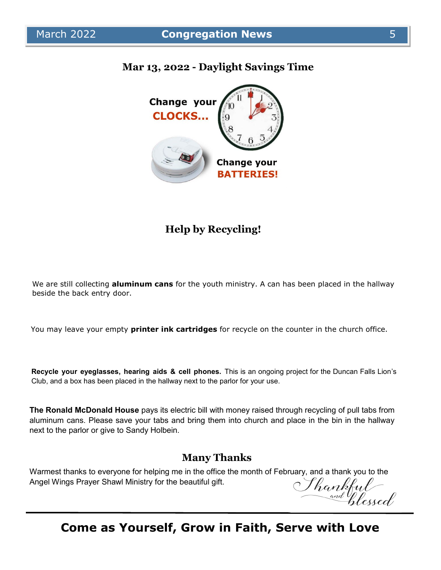

## **Mar 13, 2022 - Daylight Savings Time**

## **Help by Recycling!**

We are still collecting **aluminum cans** for the youth ministry. A can has been placed in the hallway beside the back entry door.

You may leave your empty **printer ink cartridges** for recycle on the counter in the church office.

**Recycle your eyeglasses, hearing aids & cell phones.** This is an ongoing project for the Duncan Falls Lion's Club, and a box has been placed in the hallway next to the parlor for your use.

**The Ronald McDonald House** pays its electric bill with money raised through recycling of pull tabs from aluminum cans. Please save your tabs and bring them into church and place in the bin in the hallway next to the parlor or give to Sandy Holbein.

## **Many Thanks**

Warmest thanks to everyone for helping me in the office the month of February, and a thank you to the<br>Angel Wings Prayer Shawl Ministry for the beautiful gift.<br>Angel Wings Prayer Shawl Ministry for the beautiful gift.<br>And Angel Wings Prayer Shawl Ministry for the beautiful gift.

## **Come as Yourself, Grow in Faith, Serve with Love**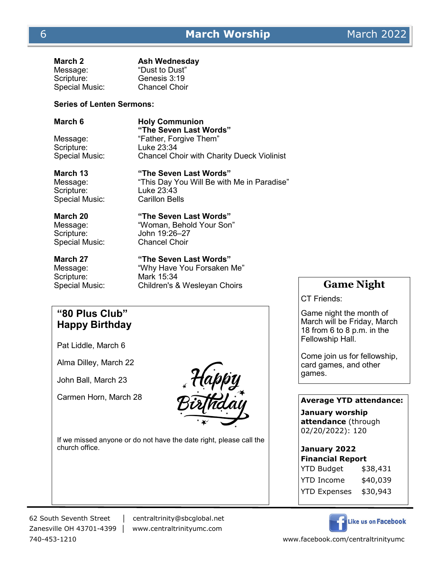| March 2               | <b>Ash Wednesday</b> |
|-----------------------|----------------------|
| Message:              | "Dust to Dust"       |
| Scripture:            | Genesis 3:19         |
| <b>Special Music:</b> | <b>Chancel Choir</b> |

#### **Series of Lenten Sermons:**

**March 6 Holy Communion "The Seven Last Words"** Message: "Father, Forgive Them"<br>Scripture: Luke 23:34 Luke 23:34 Special Music: Chancel Choir with Charity Dueck Violinist

Scripture: Luke 23:43 Special Music: Carillon Bells

**March 13 "The Seven Last Words"** Message: "This Day You Will Be with Me in Paradise"

#### **March 20 "The Seven Last Words"**

Message: "Woman, Behold Your Son" Scripture: John 19:26–27 Special Music: Chancel Choir

Scripture: Mark 15:34

**March 27 "The Seven Last Words"**

Message: "Why Have You Forsaken Me" Special Music: Children's & Wesleyan Choirs **Game Night** 

## **"80 Plus Club" Happy Birthday**

Pat Liddle, March 6

Alma Dilley, March 22

John Ball, March 23

Carmen Horn, March 28



If we missed anyone or do not have the date right, please call the church office.

# 62 South Seventh Street │ centraltrinity@sbcglobal.net

Zanesville OH 43701-4399 │ www.centraltrinityumc.com

CT Friends:

Game night the month of March will be Friday, March 18 from 6 to 8 p.m. in the Fellowship Hall.

Come join us for fellowship, card games, and other games.

### **Average YTD attendance:**

**January worship attendance** (through 02/20/2022): 120

#### **January 2022 Financial Report**

| $\mid$ rınancıaı keport<br>YTD Budget |  |
|---------------------------------------|--|
| \$38,431                              |  |
| \$40,039                              |  |
| \$30,943                              |  |
|                                       |  |



740-453-1210 www.facebook.com/centraltrinityumc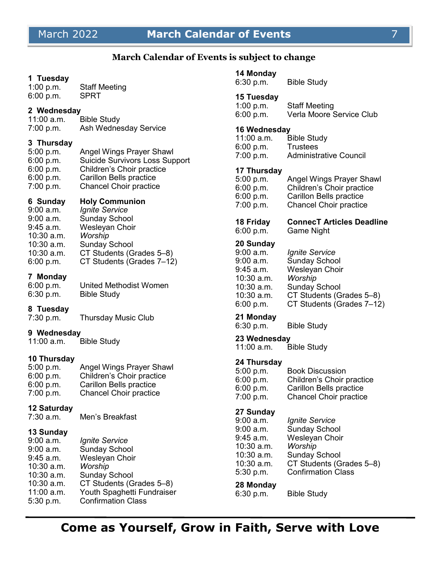## March 2022 **March Calendar of Events** 7

#### **March Calendar of Events is subject to change**

#### **1 Tuesday**

| 1:00 $p.m.$ | <b>Staff Meeting</b> |
|-------------|----------------------|
| 6:00 p.m.   | <b>SPRT</b>          |

#### **2 Wednesday**

| 11:00 a.m. | <b>Bible Study</b>    |
|------------|-----------------------|
| 7:00 p.m.  | Ash Wednesday Service |

## **3 Thursday**

| Angel Wings Prayer Shawl              |
|---------------------------------------|
| <b>Suicide Survivors Loss Support</b> |
| Children's Choir practice             |
| <b>Carillon Bells practice</b>        |
| <b>Chancel Choir practice</b>         |
|                                       |

#### **6 Sunday Holy Communion**

9:00 a.m. *Ignite Service* 9:00 a.m. Sunday School 9:45 a.m. Wesleyan Choir 10:30 a.m. *Worship*  10:30 a.m. Sunday School 10:30 a.m. CT Students (Grades 5–8) 6:00 p.m. CT Students (Grades 7–12)

#### **7 Monday**

| 6:00 p.m. | United Methodist Women |
|-----------|------------------------|
| 6:30 p.m. | <b>Bible Study</b>     |

### **8 Tuesday**

7:30 p.m. Thursday Music Club

#### **9 Wednesday**

11:00 a.m. Bible Study

## **10 Thursday**

| 5:00 p.m. | <b>Angel Wings Prayer Shawl</b> |
|-----------|---------------------------------|
| 6:00 p.m. | Children's Choir practice       |
| 6:00 p.m. | Carillon Bells practice         |
| 7:00 p.m. | <b>Chancel Choir practice</b>   |

# **12 Saturday**

Men's Breakfast

#### **13 Sunday**

| 13 Sunday    |                            |
|--------------|----------------------------|
| $9:00$ a.m.  | Ignite Service             |
| $9:00$ a.m.  | <b>Sunday School</b>       |
| 9:45 a.m.    | <b>Wesleyan Choir</b>      |
| $10:30$ a.m. | Worship                    |
| 10:30 a.m.   | <b>Sunday School</b>       |
| 10:30 a.m.   | CT Students (Grades 5-8)   |
| 11:00 a.m.   | Youth Spaghetti Fundraiser |
| 5:30 p.m.    | <b>Confirmation Class</b>  |
|              |                            |

### **14 Monday**

| <b>Bible Study</b><br>6:30 p.m. |  |
|---------------------------------|--|
|---------------------------------|--|

#### **15 Tuesday**

| 1:00 p.m. | <b>Staff Meeting</b>     |
|-----------|--------------------------|
| 6:00 p.m. | Verla Moore Service Club |

#### **16 Wednesday**

| $11:00$ a.m. | <b>Bible Study</b>            |
|--------------|-------------------------------|
| 6:00 p.m.    | <b>Trustees</b>               |
| 7:00 p.m.    | <b>Administrative Council</b> |

#### **17 Thursday**

| 5:00 p.m. | Angel Wings Prayer Shawl      |
|-----------|-------------------------------|
| 6:00 p.m. | Children's Choir practice     |
| 6:00 p.m. | Carillon Bells practice       |
| 7:00 p.m. | <b>Chancel Choir practice</b> |
|           |                               |

## **18 Friday ConnecT Articles Deadline**

## 6:00 p.m. Game Night

## **20 Sunday**

| 9:00 a.m.  | Ignite Service            |
|------------|---------------------------|
| 9:00 a.m.  | <b>Sunday School</b>      |
| 9:45 a.m.  | Wesleyan Choir            |
| 10:30 a.m. | Worship                   |
| 10:30 a.m. | <b>Sunday School</b>      |
| 10:30 a.m. | CT Students (Grades 5-8)  |
| 6:00 p.m.  | CT Students (Grades 7-12) |
|            |                           |

# **21 Monday**

Bible Study

#### **23 Wednesday**

11:00 a.m. Bible Study

#### **24 Thursday**

| 5:00 p.m. | <b>Book Discussion</b>        |
|-----------|-------------------------------|
| 6:00 p.m. | Children's Choir practice     |
| 6:00 p.m. | Carillon Bells practice       |
| 7:00 p.m. | <b>Chancel Choir practice</b> |
|           |                               |

#### **27 Sunday**

| 9:00 a.m.  | Ignite Service            |
|------------|---------------------------|
| 9:00 a.m.  | <b>Sunday School</b>      |
| 9:45 a.m.  | Wesleyan Choir            |
| 10:30 a.m. | Worship                   |
| 10:30 a.m. | <b>Sunday School</b>      |
| 10:30 a.m. | CT Students (Grades 5-8)  |
| 5:30 p.m.  | <b>Confirmation Class</b> |

#### **28 Monday**